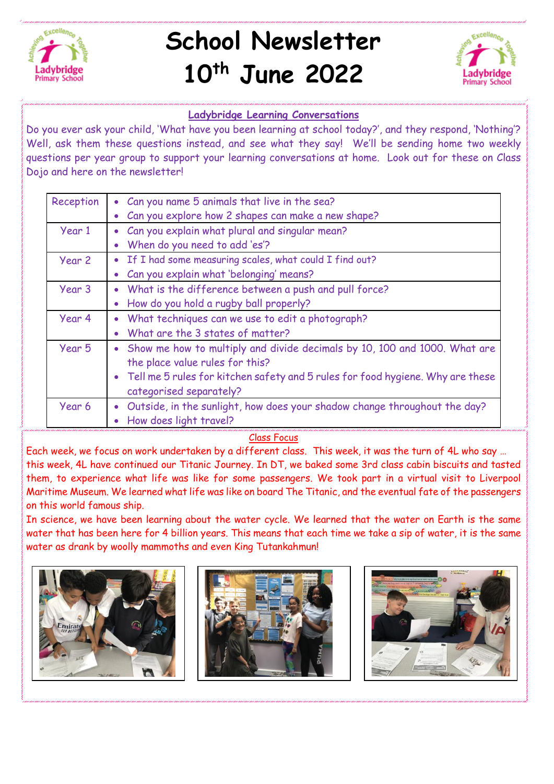

## **School Newsletter 10th June 2022**



## **Ladybridge Learning Conversations**

Do you ever ask your child, 'What have you been learning at school today?', and they respond, 'Nothing'? Well, ask them these questions instead, and see what they say! We'll be sending home two weekly questions per year group to support your learning conversations at home. Look out for these on Class Dojo and here on the newsletter!

| Reception | • Can you name 5 animals that live in the sea?                                                               |
|-----------|--------------------------------------------------------------------------------------------------------------|
|           | Can you explore how 2 shapes can make a new shape?                                                           |
| Year 1    | Can you explain what plural and singular mean?                                                               |
|           | When do you need to add 'es'?                                                                                |
| Year 2    | If I had some measuring scales, what could I find out?                                                       |
|           | Can you explain what 'belonging' means?                                                                      |
| Year 3    | What is the difference between a push and pull force?                                                        |
|           | How do you hold a rugby ball properly?                                                                       |
| Year 4    | What techniques can we use to edit a photograph?                                                             |
|           | What are the 3 states of matter?                                                                             |
| Year 5    | Show me how to multiply and divide decimals by 10, 100 and 1000. What are<br>the place value rules for this? |
|           | • Tell me 5 rules for kitchen safety and 5 rules for food hygiene. Why are these<br>categorised separately?  |
| Year 6    | Outside, in the sunlight, how does your shadow change throughout the day?                                    |
|           | How does light travel?                                                                                       |

## Class Focus

Each week, we focus on work undertaken by a different class. This week, it was the turn of 4L who say … this week, 4L have continued our Titanic Journey. In DT, we baked some 3rd class cabin biscuits and tasted them, to experience what life was like for some passengers. We took part in a virtual visit to Liverpool Maritime Museum. We learned what life was like on board The Titanic, and the eventual fate of the passengers on this world famous ship.

In science, we have been learning about the water cycle. We learned that the water on Earth is the same water that has been here for 4 billion years. This means that each time we take a sip of water, it is the same water as drank by woolly mammoths and even King Tutankahmun!